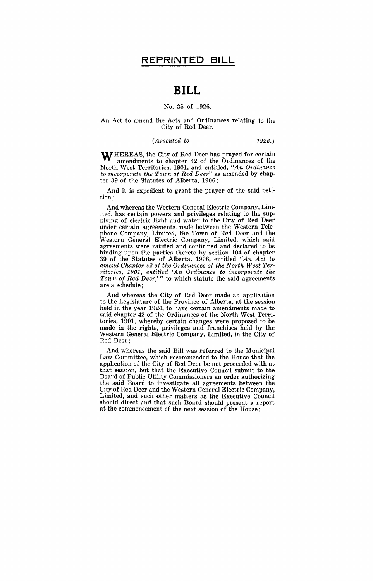# **BILL**

### No. 35 of 1926.

#### An Act to amend the Acts and Ordinances relating to the City of Red Deer.

#### *(Assented to* 1926.)

WHEREAS, the City of Red Deer has prayed for certain amendments to chapter 42 of the Ordinances of the North West Territories, 1901, and entitled, *"An Ordinance to incorporate the Town of Red Deer"* as amended by chapter 39 of the Statutes of Alberta, 1906;

And it is expedient to grant the prayer of the said petition;

And whereas the Western General Electric Company, Limited, has certain powers and privileges relating to the supplying of electric light and water to the City of Red Deer under certain agreements.made between the Western Telephone Company, Limited, the Town of Red Deer and the Western General Electric Company, Limited, which said agreements were ratified and confirmed and declared to be binding upon the parties thereto by section 104 of chapter 39 of the Statutes of Alberta, 1906, entitled *"An Act to amend Chapter* 42 *of the 01'dhumces of the North West Territories, 1901, entitled 'An Ordinance to incorpomte the Town of Red Deer,'* " to which statute the said agreements are a schedule;

And whereas the City of Red Deer made an application to the Legislature of the Province of Alberta, at the session held in the year 1924, to have certain amendments made to said chapter 42 of the Ordinances of the North West Territories, 1901, whereby certain changes were proposed to be made in the rights, privileges and franchises held by the Western General Electric Company, Limited, in the City of Red Deer;

And whereas the said Bill was referred to the Municipal Law Committee, which recommended to the House that the application of the City of Red Deer be not proceeded with at that session, but that the Executive Council submit to the Board of Public Utility Commissioners an order authorizing the said Board to investigate all agreements between the City of Red Deer and the Western General Electric Company, Limited, and such other matters as the Executive Council should direct and that such Board should present a report at the commencement of the next session of the House;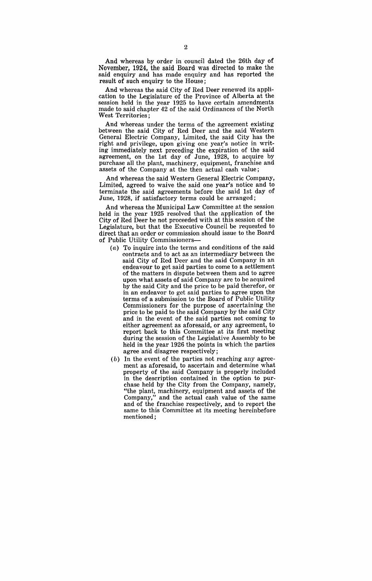And whereas by order in council dated the 26th day of November, 1924, the said Board was directed to make the said enquiry and has made enquiry and has reported the result of such enquiry to the House;

And whereas the said City of Red Deer renewed its application to the Legislature of the Province of Alberta at the session held in the year 1925 to have certain amendments made to said chapter 42 of the said Ordinances of the North West Territories;

And whereas under the terms of the agreement existing between the said City of Red Deer and the said Western General Electric Company, Limited, the said City has the right and privilege, upon giving one year's notice in writing immediately next preceding the expiration of the said agreement, on the 1st day of June, 1928, to acquire by purchase all the plant, machinery, equipment, franchise and assets of the Company at the then actual cash value;

And whereas the said Western General Electric Company, Limited, agreed to waive the said one year's notice and to terminate the said agreements before the said 1st day of June, 1928, if satisfactory terms could be arranged;

And whereas the Municipal Law Committee at the session held in the year 1925 resolved that the application of the City of Red Deer be not proceeded with at this session of the Legislature, but that the Executive Council be requested to direct that an order or commission should issue to the Board of Public Utility Commissioners-

- (a) To inquire into the terms and conditions of the said contracts and to act as an intermediary between the said City of Red Deer and the said Company in an endeavour to get said parties to come to a settlement of the matters in dispute between them and to agree upon what assets of said Company are to be acquired by the said City and the price to be paid therefor, or in an endeavor to get said parties to agree upon the terms of a submission to the Board of Public Utility Commissioners for the purpose of ascertaining the price to be paid to the said Company by the said City and in the event of the said parties not coming to either agreement as aforesaid, or any agreement, to report back to this Committee at its first meeting during the session of the Legislative Assembly to be held in the year 1926 the points in which the parties agree and disagree respectively;
- (b) In the event of the parties not reaching any agreement as aforesaid, to ascertain and determine what property of the said Company is properly included in the description contained in the option to purchase held by the City from the Company, namely, "the plant, machinery, equipment and assets of the Company," and the actual cash value of the same and of the franchise respectively, and to report the same to this Committee at its meeting hereinbefore mentioned;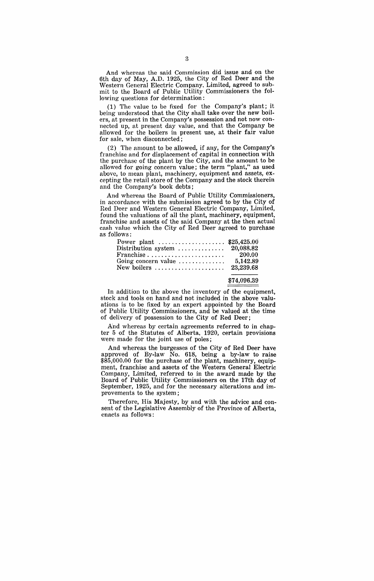And whereas the said Commission did issue and on the 6th day of May, A.D. 1925, the City of Red Deer and the Western General Electric Company, Limited, agreed to submit to the Board of Public Utility Commissioners the following questions for determination:

(1) The value to be fixed for the Company's plant; it being understood that the City shall take over the new boilers, at present in the Company's possession and not now connected up, at present day value, and that the Company be allowed for the boilers in present use, at their fair value for sale, when disconnected;

(2) The amount to be allowed, if any, for the Company's franchise and for displacement of capital in connection with the purchase of the plant by the City, and the amount to be allowed for going concern value; the term "plant," as used above, to mean plant, machinery, equipment and assets, excepting the retail store of the Company and the stock therein and the Company's book debts;

And whereas the Board of Public Utility Commissioners, in accordance with the submission agreed to by the City of Red Deer and Western General Electric Company, Limited, found the valuations of all the plant, machinery, equipment, franchise and assets of the said Company at the then actual cash value which the City of Red Deer agreed to purchase as follows:

| .                                                             |        |
|---------------------------------------------------------------|--------|
| Power plant  \$25,425.00                                      |        |
| Distribution system $\ldots \ldots \ldots \ldots$ 20,088.82   |        |
| $\text{Franchise } \dots \dots \dots \dots \dots \dots \dots$ | 200.00 |
| Going concern value $\dots \dots \dots \dots$ 5,142.89        |        |
| New boilers $\dots \dots \dots \dots \dots \dots 23.239.68$   |        |
|                                                               |        |

#### \$74,096.39

In addition to the above the inventory of the equipment, stock and tools on hand and not included in the above valuations is to be fixed by an expert appointed by the Board of Public Utility Commissioners, and be valued at the time of delivery of possession to the City of Red Deer;

And whereas by certain agreements referred to in chapter 5 of the Statutes of Alberta. 1920, certain provisions were made for the joint use of poles;

And whereas the burgesses of the City of Red Deer have approved of By-law No. 618, being a by-law to raise \$85,000.00 for the purchase of the plant, machinery, equipment, franchise and assets of the Western General Electric Company, Limited, referred to in the award made by the Board of Public Utility Commissioners on the 17th day of September, 1925, and for the necessary alterations and improvements to the system;

Therefore, His Majesty, by and with the advice and consent of the Legislative Assembly of the Province of Alberta, enacts as follows: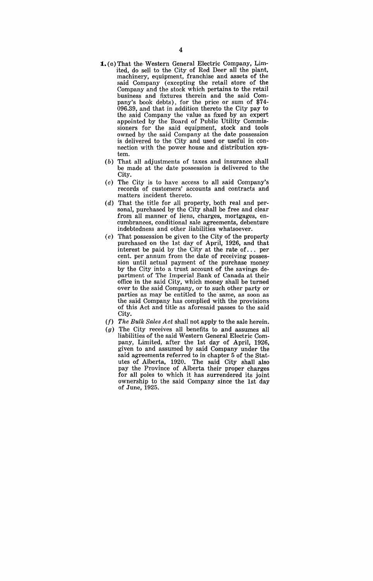- **1.** (a) That the Western General Electric Company, Limited, do sell to the City of Red Deer all the plant, machinery, equipment, franchise and assets of the said Company (excepting the retail store of the Company and the stock which pertains to the retail business and fixtures therein and the said Company's book debts), for the price or sum of \$74- 096.39, and that in addition thereto the City pay to the said Company the value as fixed by an expert appointed by the Board of Public Utility Commissioners for the said equipment, stock and tools owned by the said Company at the date possession is delivered to the City and used or useful in connection with the power house and distribution system.
	- (b) That all adjustments of taxes and insurance shall be made at the date possession is delivered to the City.
	- (c) The City is to have access to all said Company's records of customers' accounts and contracts and matters incident thereto.
	- (d) That the title for all property, both real and personal, purchased by the City shall be free and clear from all manner of liens, charges, mortgages, encumbrances, conditional sale agreements, debenture indebtedness and other liabilities whatsoever.
	- (e) That possession be given to the City of the property purchased on the 1st day of April, 1926, and that interest be paid by the City at the rate of. .. per cent. per .annum from the date of receiving possession until actual payment of the purchase money by the City into a trust account of the savings department of The Imperial Bank of Canada at their office in the said City, which money shall be turned over to the said Company, or to such other party or parties as may be entitled to the' same, as soon as the said Company has complied with the provisions of this Act and title as aforesaid passes to the said City.
	- (f) The Bulk Sales Act shall not apply to the sale herein.
	- (g) The City receives all benefits to and assumes all liabilities of the said Western General Electric Company, Limited, after the 1st day of April, 1926, given to and assumed by said Company under the said agreements referred to in chapter 5 of the Statutes of Alberta, 1920. The said City shall also pay the Province of Alberta their proper charges for all poles to which it has surrendered its joint ownership to the said Company since the 1st day of June, 1925.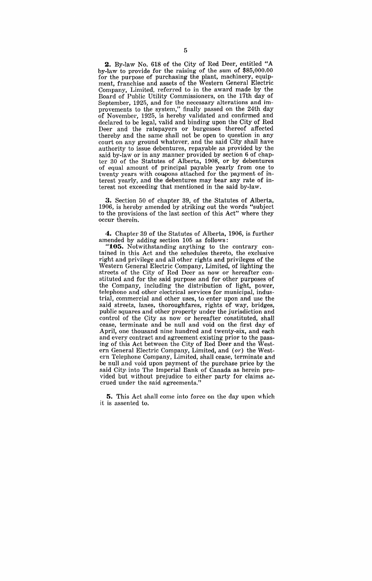**2.** By-law No. 618 of the City of Red Deer, entitled "A by-law to provide for the raising of the sum of \$85,000.00 for the purpose of purchasing the plant, machinery, equipment, franchise and assets of the Western General Electric Company, Limited, referred to in the award made by the Board of Public Utility Commissioners, on the 17th day of September, 1925, and for the necessary alterations and improvements to the system," finally passed on the 24th day of November, 1925, is hereby validated and confirmed and declared to be legal, valid and binding upon the City of Red Deer and the ratepayers or burgesses thereof affected thereby and the same shall not be open to question in any court on any ground Whatever, and the said City shall have authority to issue debentures, repayable as provided by the said by-law or in any manner provided by section 6 of chapter 30 of the Statutes of Alberta, 1908, or by debentures of equal amount of principal payable yearly from one to twenty years with coupons attached for the payment of interest yearly, and the debentures may bear any rate of interest not exceeding that mentioned in the said by-law.

**3.** Section 50 of chapter 39, of the Statutes of Alberta, 1906, is hereby amended by striking out the words "subject to the provisions of the last section of this Act" where they occur therein.

**4.** Chapter 39 of the Statutes of Alberta, 1906, is further amended by adding section 105 as follows:

**"105.** Notwithstanding anything to the contrary contained in this Act and the schedules thereto, the exclusive right and privilege and all other rights and privileges of the Western General Electric Company, Limited, of lighting the streets of the City of Red Deer as now or hereafter constituted and for the said purpose and for other purposes of the Company, including the distribution of light, power, telephone, and other electrical services for municipal, industrial, commercial and other uses, to enter upon and use the said streets, lanes, thoroughfares, rights of way, bridges, public squares and other property under the jurisdiction and control of the City as now or hereafter constituted, shall cease, terminate and be null and void on the first day of April, one thousand nine hundred and twenty-six, and each and every contract and agreement existing prior to the passing of this Act between the City of Red Deer and the Western General Electric Company, Limited, and (or) the Western Telephone Company, Limited, shall cease, terminate and be null and void upon payment of the purchase price by the said City into The Imperial Bank of Canada as herein provided but without prejudice to either party for claims accrued under the said agreements."

**5.** This Act shall come into force on the day upon which it is assented to.